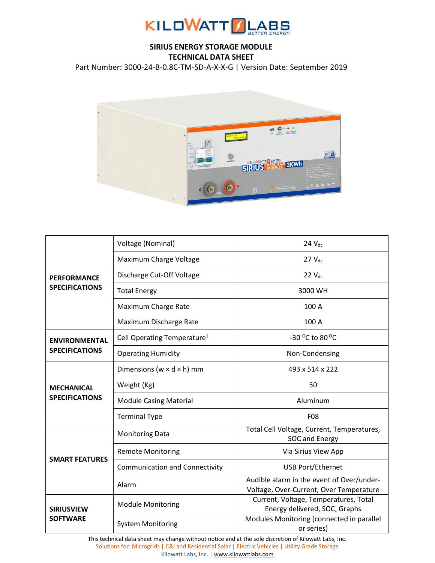

## **SIRIUS ENERGY STORAGE MODULE TECHNICAL DATA SHEET**

Part Number: 3000-24-B-0.8C-TM-SD-A-X-X-G | Version Date: September 2019



| <b>PERFORMANCE</b><br><b>SPECIFICATIONS</b>   | Voltage (Nominal)                       | $24$ $V_{dc}$                                                                        |  |
|-----------------------------------------------|-----------------------------------------|--------------------------------------------------------------------------------------|--|
|                                               | Maximum Charge Voltage                  | $27V_{dc}$                                                                           |  |
|                                               | Discharge Cut-Off Voltage               | $22$ $V_{dc}$                                                                        |  |
|                                               | <b>Total Energy</b>                     | 3000 WH                                                                              |  |
|                                               | Maximum Charge Rate                     | 100 A                                                                                |  |
|                                               | Maximum Discharge Rate                  | 100 A                                                                                |  |
| <b>ENVIRONMENTAL</b><br><b>SPECIFICATIONS</b> | Cell Operating Temperature <sup>1</sup> | -30 °C to 80 °C                                                                      |  |
|                                               | <b>Operating Humidity</b>               | Non-Condensing                                                                       |  |
| <b>MECHANICAL</b><br><b>SPECIFICATIONS</b>    | Dimensions ( $w \times d \times h$ ) mm | 493 x 514 x 222                                                                      |  |
|                                               | Weight (Kg)                             | 50                                                                                   |  |
|                                               | <b>Module Casing Material</b>           | Aluminum                                                                             |  |
|                                               | <b>Terminal Type</b>                    | F08                                                                                  |  |
| <b>SMART FEATURES</b>                         | <b>Monitoring Data</b>                  | Total Cell Voltage, Current, Temperatures,<br>SOC and Energy                         |  |
|                                               | <b>Remote Monitoring</b>                | Via Sirius View App                                                                  |  |
|                                               | <b>Communication and Connectivity</b>   | <b>USB Port/Ethernet</b>                                                             |  |
|                                               | Alarm                                   | Audible alarm in the event of Over/under-<br>Voltage, Over-Current, Over Temperature |  |
| <b>SIRIUSVIEW</b><br><b>SOFTWARE</b>          | <b>Module Monitoring</b>                | Current, Voltage, Temperatures, Total<br>Energy delivered, SOC, Graphs               |  |
|                                               | <b>System Monitoring</b>                | Modules Monitoring (connected in parallel<br>or series)                              |  |

This technical data sheet may change without notice and at the sole discretion of Kilowatt Labs, Inc. Solutions for: Microgrids | C&I and Residential Solar | Electric Vehicles | Utility Grade Storage Kilowatt Labs, Inc. [| www.kilowattlabs.com](http://www.kilowattlabs.com/)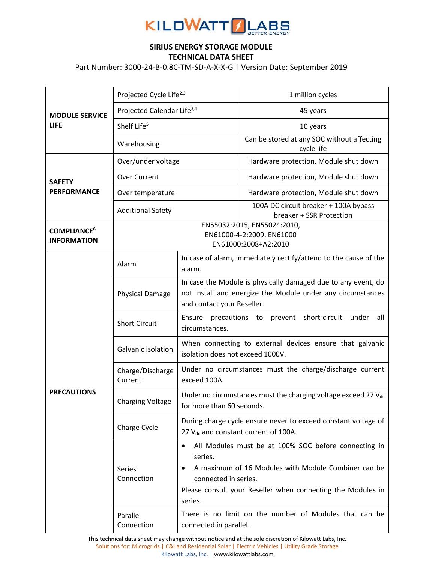

## **SIRIUS ENERGY STORAGE MODULE TECHNICAL DATA SHEET**

Part Number: 3000-24-B-0.8C-TM-SD-A-X-X-G | Version Date: September 2019

| <b>MODULE SERVICE</b><br><b>LIFE</b>                | Projected Cycle Life <sup>2,3</sup>                                              |                                                                                                                                                                                                                          | 1 million cycles                                                  |
|-----------------------------------------------------|----------------------------------------------------------------------------------|--------------------------------------------------------------------------------------------------------------------------------------------------------------------------------------------------------------------------|-------------------------------------------------------------------|
|                                                     | Projected Calendar Life <sup>3,4</sup>                                           |                                                                                                                                                                                                                          | 45 years                                                          |
|                                                     | Shelf Life <sup>5</sup>                                                          |                                                                                                                                                                                                                          | 10 years                                                          |
|                                                     | Warehousing                                                                      |                                                                                                                                                                                                                          | Can be stored at any SOC without affecting<br>cycle life          |
| <b>SAFETY</b><br><b>PERFORMANCE</b>                 | Over/under voltage                                                               |                                                                                                                                                                                                                          | Hardware protection, Module shut down                             |
|                                                     | <b>Over Current</b>                                                              |                                                                                                                                                                                                                          | Hardware protection, Module shut down                             |
|                                                     | Over temperature                                                                 |                                                                                                                                                                                                                          | Hardware protection, Module shut down                             |
|                                                     | <b>Additional Safety</b>                                                         |                                                                                                                                                                                                                          | 100A DC circuit breaker + 100A bypass<br>breaker + SSR Protection |
| <b>COMPLIANCE<sup>6</sup></b><br><b>INFORMATION</b> | EN55032:2015, EN55024:2010,<br>EN61000-4-2:2009, EN61000<br>EN61000:2008+A2:2010 |                                                                                                                                                                                                                          |                                                                   |
| <b>PRECAUTIONS</b>                                  | Alarm                                                                            | alarm.                                                                                                                                                                                                                   | In case of alarm, immediately rectify/attend to the cause of the  |
|                                                     | <b>Physical Damage</b>                                                           | In case the Module is physically damaged due to any event, do<br>not install and energize the Module under any circumstances<br>and contact your Reseller.                                                               |                                                                   |
|                                                     | <b>Short Circuit</b>                                                             | precautions to prevent short-circuit<br>Ensure<br>under<br>all<br>circumstances.                                                                                                                                         |                                                                   |
|                                                     | Galvanic isolation                                                               | When connecting to external devices ensure that galvanic<br>isolation does not exceed 1000V.                                                                                                                             |                                                                   |
|                                                     | Charge/Discharge<br>Current                                                      | Under no circumstances must the charge/discharge current<br>exceed 100A.                                                                                                                                                 |                                                                   |
|                                                     | <b>Charging Voltage</b>                                                          | Under no circumstances must the charging voltage exceed 27 Vdc<br>for more than 60 seconds.                                                                                                                              |                                                                   |
|                                                     | Charge Cycle                                                                     | During charge cycle ensure never to exceed constant voltage of<br>27 V <sub>dc</sub> and constant current of 100A.                                                                                                       |                                                                   |
|                                                     | Series<br>Connection                                                             | All Modules must be at 100% SOC before connecting in<br>series.<br>A maximum of 16 Modules with Module Combiner can be<br>connected in series.<br>Please consult your Reseller when connecting the Modules in<br>series. |                                                                   |
|                                                     | Parallel<br>Connection                                                           | connected in parallel.                                                                                                                                                                                                   | There is no limit on the number of Modules that can be            |

This technical data sheet may change without notice and at the sole discretion of Kilowatt Labs, Inc. Solutions for: Microgrids | C&I and Residential Solar | Electric Vehicles | Utility Grade Storage Kilowatt Labs, Inc. [| www.kilowattlabs.com](http://www.kilowattlabs.com/)